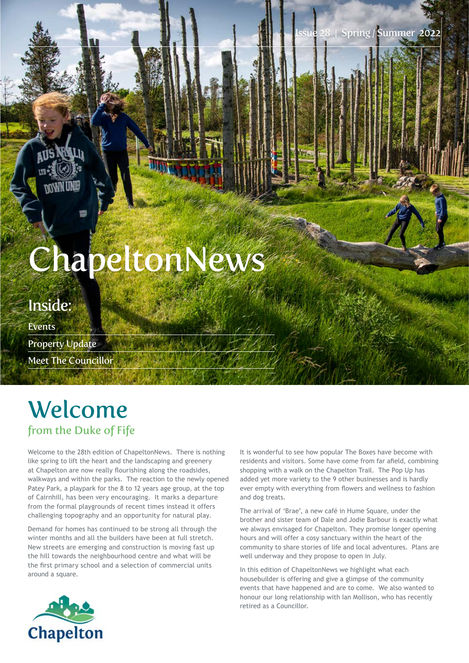28 | Spring / Summer 2022

# ChapeltonNews

### Inside:

Events Property Update Meet The Councillor

## Welcome from the Duke of Fife

Welcome to the 28th edition of ChapeltonNews. There is nothing like spring to lift the heart and the landscaping and greenery at Chapelton are now really flourishing along the roadsides, walkways and within the parks. The reaction to the newly opened Patey Park, a playpark for the 8 to 12 years age group, at the top of Cairnhill, has been very encouraging. It marks a departure from the formal playgrounds of recent times instead it offers challenging topography and an opportunity for natural play.

Demand for homes has continued to be strong all through the winter months and all the builders have been at full stretch. New streets are emerging and construction is moving fast up the hill towards the neighbourhood centre and what will be the frst primary school and a selection of commercial units around a square.

It is wonderful to see how popular The Boxes have become with residents and visitors. Some have come from far afeld, combining shopping with a walk on the Chapelton Trail. The Pop Up has added yet more variety to the 9 other businesses and is hardly ever empty with everything from flowers and wellness to fashion and dog treats.

The arrival of 'Brae', a new café in Hume Square, under the brother and sister team of Dale and Jodie Barbour is exactly what we always envisaged for Chapelton. They promise longer opening hours and will offer a cosy sanctuary within the heart of the community to share stories of life and local adventures. Plans are well underway and they propose to open in July.

In this edition of ChapeltonNews we highlight what each housebuilder is offering and give a glimpse of the community events that have happened and are to come. We also wanted to honour our long relationship with Ian Mollison, who has recently retired as a Councillor.

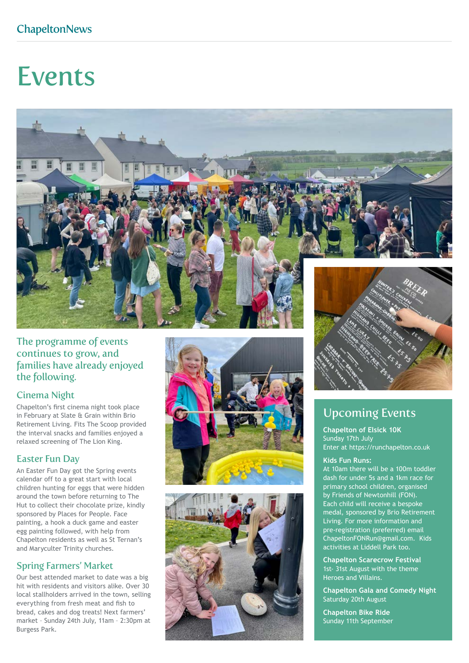## Events



#### The programme of events continues to grow, and families have already enjoyed the following.

#### Cinema Night

Chapelton's frst cinema night took place in February at Slate & Grain within Brio Retirement Living. Fits The Scoop provided the interval snacks and families enjoyed a relaxed screening of The Lion King.

#### Easter Fun Day

An Easter Fun Day got the Spring events calendar off to a great start with local children hunting for eggs that were hidden around the town before returning to The Hut to collect their chocolate prize, kindly sponsored by Places for People. Face painting, a hook a duck game and easter egg painting followed, with help from Chapelton residents as well as St Ternan's and Maryculter Trinity churches.

#### Spring Farmers' Market

Our best attended market to date was a big hit with residents and visitors alike. Over 30 local stallholders arrived in the town, selling everything from fresh meat and fish to bread, cakes and dog treats! Next farmers' market – Sunday 24th July, 11am – 2:30pm at Burgess Park.







### Upcoming Events

**Chapelton of Elsick 10K** Sunday 17th July Enter at https://runchapelton.co.uk

#### **Kids Fun Runs:**

At 10am there will be a 100m toddler dash for under 5s and a 1km race for primary school children, organised by Friends of Newtonhill (FON). Each child will receive a bespoke medal, sponsored by Brio Retirement Living. For more information and pre-registration (preferred) email ChapeltonFONRun@gmail.com. Kids activities at Liddell Park too.

**Chapelton Scarecrow Festival** 1st- 31st August with the theme Heroes and Villains.

**Chapelton Gala and Comedy Night** Saturday 20th August

**Chapelton Bike Ride** Sunday 11th September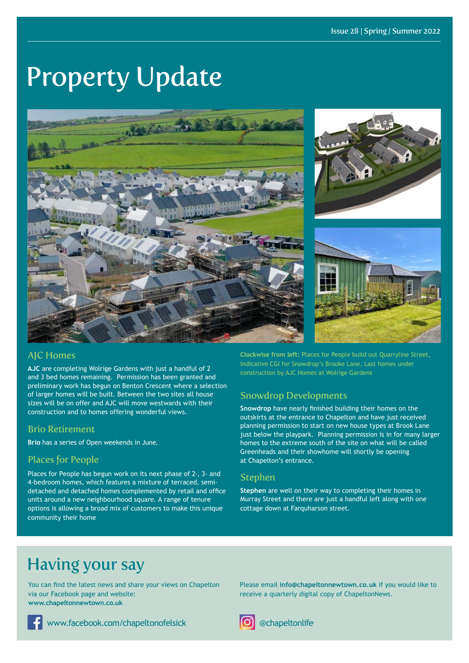## Property Update



#### AJC Homes

**AJC** are completing Wolrige Gardens with just a handful of 2 and 3 bed homes remaining. Permission has been granted and preliminary work has begun on Benton Crescent where a selection of larger homes will be built. Between the two sites all house sizes will be on offer and AJC will move westwards with their construction and to homes offering wonderful views.

#### Brio Retirement

**Brio** has a series of Open weekends in June.

#### Places for People

Places for People has begun work on its next phase of 2-, 3- and 4-bedroom homes, which features a mixture of terraced, semidetached and detached homes complemented by retail and office units around a new neighbourhood square. A range of tenure options is allowing a broad mix of customers to make this unique community their home

**Clockwise from left:** Places for People build out Quarryline Street, Indicative CGI for Snowdrop's Brooke Lane, Last homes under construction by AJC Homes at Wolrige Gardens

#### Snowdrop Developments

**Snowdrop** have nearly fnished building their homes on the outskirts at the entrance to Chapelton and have just received planning permission to start on new house types at Brook Lane just below the playpark. Planning permission is in for many larger homes to the extreme south of the site on what will be called Greenheads and their showhome will shortly be opening at Chapelton's entrance.

#### Stephen

**Stephen** are well on their way to completing their homes in Murray Street and there are just a handful left along with one cottage down at Farquharson street.

## Having your say

You can fnd the latest news and share your views on Chapelton via our Facebook page and website: **www.chapeltonnewtown.co.uk**

www.facebook.com/chapeltonofelsick **and Constructed Construction** @chapeltonlife

Please email **info@chapeltonnewtown.co.uk** if you would like to receive a quarterly digital copy of ChapeltonNews.